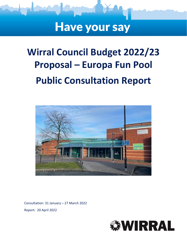# **Have your say**

# **Wirral Council Budget 2022/23 Proposal – Europa Fun Pool Public Consultation Report**



Consultation: 31 January – 27 March 2022 Report: 20 April 2022

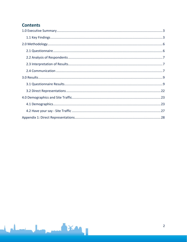# **Contents**

**SALES**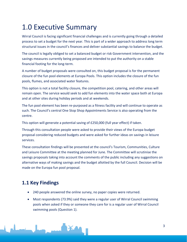# <span id="page-2-0"></span>1.0 Executive Summary

Wirral Council is facing significant financial challenges and is currently going through a detailed process to set a budget for the next year. This is part of a wider approach to address long term structural issues in the council's finances and deliver substantial savings to balance the budget.

The council is legally obliged to set a balanced budget or risk Government intervention, and the savings measures currently being proposed are intended to put the authority on a stable financial footing for the long-term.

A number of budget proposals were consulted on, this budget proposal is for the permanent closure of the fun pool elements at Europa Pools. This option includes the closure of the fun pools, flumes, and associated water features.

This option is not a total facility closure, the competition pool, catering, and other areas will remain open. The service would seek to add fun elements into the water space both at Europa and at other sites during holiday periods and at weekends.

The fun pool element has been re-purposed as a fitness facility and will continue to operate as such. The Council's central One Stop Shop Appointments Service is also operating from the centre.

This option will generate a potential saving of £250,000 (full year effect) if taken.

Through this consultation people were asked to provide their views of the Europa budget proposal considering reduced budgets and were asked for further ideas on savings in leisure services.

These consultation findings will be presented at the council's Tourism, Communities, Culture and Leisure Committee at the meeting planned for June. The Committee will scrutinise the savings proposals taking into account the comments of the public including any suggestions on alternative ways of making savings and the budget allotted by the full Council. Decision will be made on the Europa fun pool proposal.

# <span id="page-2-1"></span>**1.1 Key Findings**

- 240 people answered the online survey, no paper copies were returned.
- Most respondents (73.9%) said they were a regular user of Wirral Council swimming pools when asked if they or someone they care for is a regular user of Wirral Council swimming pools (Question 1).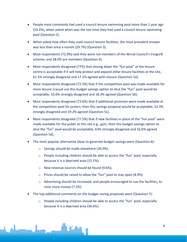- People most commonly had used a council leisure swimming pool more than 1 year ago (33.2%), when asked when was the last time they had used a council leisure swimming pool (Question 2).
- When asked how often they used council leisure facilities, the most prevalent answer was less than once a month (29.7%) (Question 3).
- Most respondents (72.0%) said they were not members of the Wirral Council's Invigor8 scheme, and 28.0% are members (Question 4).
- Most respondents disagreed (77%) that closing down the "fun pool" at the leisure centre is acceptable if it will help protect and expand other leisure facilities at the site, 61.5% strongly disagreed and 17.1% agreed with closure (Question 5a).
- Most respondents disagreed (72.3%) that if the competition pool was made available for more leisure /casual use this budget savings option to shut the "fun" pool would be acceptable, 53.6% strongly disagreed and 18.3% agreed (Question 5b).
- Most respondents disagreed (73.6%) that if additional provision were made available at the competition pool for juniors, then this savings proposal would be acceptable, 52.3% strongly disagreed and 19.2% agreed (Question 5c).
- Most respondents disagreed (77.5%) that if new facilities in place of the "fun pool" were made available for the public at this site e.g., gym, then this budget savings option to shut the "fun" pool would be acceptable, 63% strongly disagreed and 16.6% agreed (Question 5d).
- The most popular alternative ideas to generate budget savings were (Question 6):
	- o Savings should be made elsewhere (26.0%).
	- $\circ$  People including children should be able to access the "fun" pool, especially because it is a deprived area (15.1%).
	- o New revenue sources should be found (9.6%).
	- o Prices should be raised to allow the "fun" pool to stay open (8.9%).
	- $\circ$  Advertising should be increased, and people encouraged to use the facilities, to raise more money (7.5%).
- The top additional comments on the budget saving proposals were (Question 7):
	- $\circ$  People including children should be able to access the "fun" pool, especially because it is a deprived area (36.6%).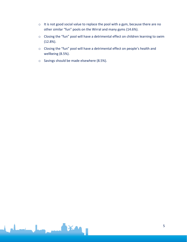- o It is not good social value to replace the pool with a gym, because there are no other similar "fun" pools on the Wirral and many gyms (14.6%).
- o Closing the "fun" pool will have a detrimental effect on children learning to swim (12.8%).
- o Closing the "fun" pool will have a detrimental effect on people's health and wellbeing (8.5%).
- o Savings should be made elsewhere (8.5%).

**XV**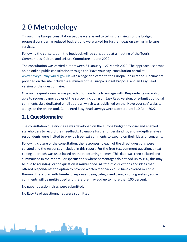# <span id="page-5-0"></span>2.0 Methodology

Through the Europa consultation people were asked to tell us their views of the budget proposal considering reduced budgets and were asked for further ideas on savings in leisure services.

Following the consultation, the feedback will be considered at a meeting of the Tourism, Communities, Culture and Leisure Committee in June 2022.

The consultation was carried out between 31 January – 27 March 2022. The approach used was an on online public consultation through the 'Have your say' consultation portal at [www.haveyoursay.wirral.gov.uk](https://wirralcouncil.sharepoint.com/sites/Team-0401/Shared%20Documents/General/2020%20EngagementHQ/Budget/www.haveyoursay.wirral.gov.uk) with a page dedicated to the Europa Consultation. Documents provided on the site included a summary of the Europa Budget Proposal and an Easy Read version of the questionnaire.

One online questionnaire was provided for residents to engage with. Respondents were also able to request paper copies of the survey, including an Easy Read version, or submit additional comments via a dedicated email address, which was published on the 'Have your say' website alongside the online tool. Completed Easy Read surveys were accepted until 10 April 2022.

# <span id="page-5-1"></span>**2.1 Questionnaire**

The consultation questionnaire was developed on the Europa budget proposal and enabled stakeholders to record their feedback. To enable further understanding, and in-depth analysis, respondents were invited to provide free-text comments to expand on their ideas or concerns.

Following closure of the consultation, the responses to each of the direct questions were collated and the responses included in this report. For the free-text comment question, a text coding approach was used based on the reoccurring themes. This data was then collated and summarised in the report. For specific tools where percentages do not add up to 100, this may be due to rounding, or the question is multi-coded. All free-text questions and ideas that offered respondents the option to provide written feedback could have covered multiple themes. Therefore, with free-text responses being categorised using a coding system, some comments will be multi-coded and therefore may add up to more than 100 percent.

No paper questionnaires were submitted*.*

No Easy Read questionnaires were submitted.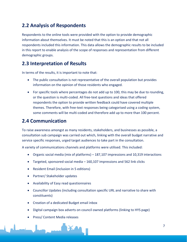# <span id="page-6-0"></span>**2.2 Analysis of Respondents**

Respondents to the online tools were provided with the option to provide demographic information about themselves. It must be noted that this is an option and that not all respondents included this information. This data allows the demographic results to be included in this report to enable analysis of the scope of responses and representation from different demographic groups.

# <span id="page-6-1"></span>**2.3 Interpretation of Results**

In terms of the results, it is important to note that:

- The public consultation is not representative of the overall population but provides information on the opinion of those residents who engaged.
- For specific tools where percentages do not add up to 100, this may be due to rounding, or the question is multi-coded. All free-text questions and ideas that offered respondents the option to provide written feedback could have covered multiple themes. Therefore, with free-text responses being categorised using a coding system, some comments will be multi-coded and therefore add up to more than 100 percent.

# <span id="page-6-2"></span>**2.4 Communication**

To raise awareness amongst as many residents, stakeholders, and businesses as possible, a consultation sub campaign was carried out which, linking with the overall budget narrative and service specific responses, urged target audiences to take part in the consultation.

A variety of communications channels and platforms were utilised. This included:

- Organic social media (mix of platforms) 187,107 impressions and 10,319 interactions
- Targeted, sponsored social media 160,107 impressions and 562 link clicks
- Resident Email (inclusion in 5 editions)
- Partner/ Stakeholder updates
- Availability of Easy read questionnaires
- Councillor Updates (including consultation specific URL and narrative to share with constituents)
- Creation of a dedicated Budget email inbox
- Digital campaign box adverts on council owned platforms (linking to HYS page)
- Press/ Content Media releases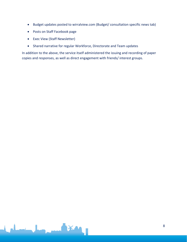- Budget updates posted to wirralview.com (Budget/ consultation specific news tab)
- Posts on Staff Facebook page
- Exec View (Staff Newsletter)
- Shared narrative for regular Workforce, Directorate and Team updates

IX A

In addition to the above, the service itself administered the issuing and recording of paper copies and responses, as well as direct engagement with friends/ interest groups.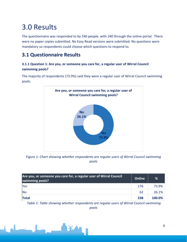# <span id="page-8-0"></span>3.0 Results

The questionnaire was responded to by 240 people, with 240 through the online portal. There were no paper copies submitted. No Easy Read versions were submitted. No questions were mandatory so respondents could choose which questions to respond to.

# <span id="page-8-1"></span>**3.1 Questionnaire Results**

# **3.1.1 Question 1: Are you, or someone you care for, a regular user of Wirral Council swimming pools?**

The majority of respondents (73.9%) said they were a regular user of Wirral Council swimming pools.



*Figure 1: Chart showing whether respondents are regular users of Wirral Council swimming pools*

| Are you, or someone you care for, a regular user of Wirral Council<br>swimming pools? |     | %      |
|---------------------------------------------------------------------------------------|-----|--------|
| Yes                                                                                   | 176 | 73.9%  |
| <b>No</b>                                                                             | 62  | 26.1%  |
| <b>Total</b>                                                                          | 238 | 100.0% |

*Table 1: Table showing whether respondents are regular users of Wirral Council swimming pools*

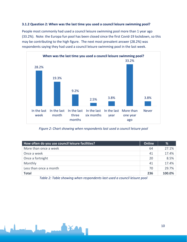### **3.1.2 Question 2: When was the last time you used a council leisure swimming pool?**

People most commonly had used a council leisure swimming pool more than 1 year ago (33.2%). Note: the Europa fun pool has been closed since the first Covid-19 lockdown, so this may be contributing to the high figure. The next most prevalent answer (28.2%) was respondents saying they had used a council leisure swimming pool in the last week.



*Figure 2: Chart showing when respondents last used a council leisure pool*

| How often do you use council leisure facilities? | Online | %      |
|--------------------------------------------------|--------|--------|
| More than once a week                            | 64     | 27.1%  |
| Once a week                                      | 41     | 17.4%  |
| Once a fortnight                                 | 20     | 8.5%   |
| Monthly                                          | 41     | 17.4%  |
| Less than once a month                           | 70     | 29.7%  |
| <b>Total</b>                                     | 236    | 100.0% |

*Table 2: Table showing when respondents last used a council leisure pool*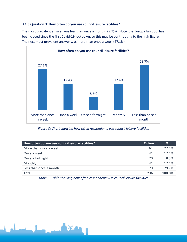### **3.1.3 Question 3: How often do you use council leisure facilities?**

The most prevalent answer was less than once a month (29.7%). Note: the Europa fun pool has been closed since the first Covid-19 lockdown, so this may be contributing to the high figure. The next most prevalent answer was more than once a week (27.1%).



*Figure 3: Chart showing how often respondents use council leisure facilities*

| How often do you use council leisure facilities? | Online | %      |
|--------------------------------------------------|--------|--------|
| More than once a week                            | 64     | 27.1%  |
| Once a week                                      | 41     | 17.4%  |
| Once a fortnight                                 | 20     | 8.5%   |
| Monthly                                          | 41     | 17.4%  |
| Less than once a month                           | 70     | 29.7%  |
| <b>Total</b>                                     | 236    | 100.0% |

*Table 3: Table showing how often respondents use council leisure facilities*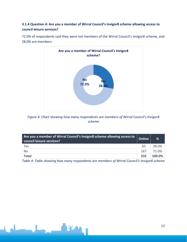# **3.1.4 Question 4: Are you a member of Wirral Council's Invigor8 scheme allowing access to council leisure services?**

72.0% of respondents said they were not members of the Wirral Council's Invigor8 scheme, and 28.0% are members.



*Figure 4: Chart showing how many respondents are members of Wirral Council's Invigor8 scheme*

| Are you a member of Wirral Council's Invigor8 scheme allowing access to<br>council leisure services? | <b>Online</b> | %      |
|------------------------------------------------------------------------------------------------------|---------------|--------|
| Yes                                                                                                  | 65            | 28.0%  |
| No                                                                                                   | 167           | 72.0%  |
| <b>Total</b>                                                                                         | 232           | 100.0% |

*Table 4: Table showing how many respondents are members of Wirral Council's Invigor8 scheme*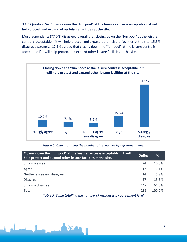## **3.1.5 Question 5a: Closing down the "fun pool" at the leisure centre is acceptable if it will help protect and expand other leisure facilities at the site.**

Most respondents (77.0%) disagreed overall that closing down the "fun pool" at the leisure centre is acceptable if it will help protect and expand other leisure facilities at the site, 15.5% disagreed strongly. 17.1% agreed that closing down the "fun pool" at the leisure centre is acceptable if it will help protect and expand other leisure facilities at the site.



### *Figure 5: Chart totalling the number of responses by agreement level*

| Closing down the "fun pool" at the leisure centre is acceptable if it will<br>help protect and expand other leisure facilities at the site. | <b>Online</b> | %      |
|---------------------------------------------------------------------------------------------------------------------------------------------|---------------|--------|
| Strongly agree                                                                                                                              | 24            | 10.0%  |
| Agree                                                                                                                                       | 17            | 7.1%   |
| Neither agree nor disagree                                                                                                                  | 14            | 5.9%   |
| <b>Disagree</b>                                                                                                                             | 37            | 15.5%  |
| Strongly disagree                                                                                                                           | 147           | 61.5%  |
| <b>Total</b>                                                                                                                                | 239           | 100.0% |

*Table 5: Table totalling the number of responses by agreement level*

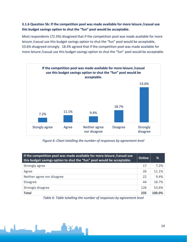### **3.1.6 Question 5b: If the competition pool was made available for more leisure /casual use this budget savings option to shut the "fun" pool would be acceptable.**

Most respondents (72.3%) disagreed that if the competition pool was made available for more leisure /casual use this budget savings option to shut the "fun" pool would be acceptable, 53.6% disagreed strongly. 18.3% agreed that if the competition pool was made available for more leisure /casual use this budget savings option to shut the "fun" pool would be acceptable.



*Figure 6: Chart totalling the number of responses by agreement level*

| If the competition pool was made available for more leisure / casual use<br>this budget savings option to shut the "fun" pool would be acceptable. |     | %      |
|----------------------------------------------------------------------------------------------------------------------------------------------------|-----|--------|
| Strongly agree                                                                                                                                     | 17  | 7.2%   |
| Agree                                                                                                                                              | 26  | 11.1%  |
| Neither agree nor disagree                                                                                                                         | 22  | 9.4%   |
| <b>Disagree</b>                                                                                                                                    | 44  | 18.7%  |
| Strongly disagree                                                                                                                                  | 126 | 53.6%  |
| <b>Total</b>                                                                                                                                       | 235 | 100.0% |

*Table 6: Table totalling the number of responses by agreement level*

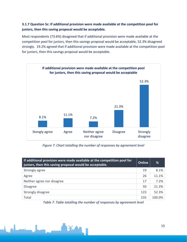## **3.1.7 Question 5c: If additional provision were made available at the competition pool for juniors, then this saving proposal would be acceptable.**

Most respondents (73.6%) disagreed that if additional provision were made available at the competition pool for juniors, then this savings proposal would be acceptable, 52.3% disagreed strongly. 19.2% agreed that if additional provision were made available at the competition pool for juniors, then this savings proposal would be acceptable.



*Figure 7: Chart totalling the number of responses by agreement level*

| If additional provision were made available at the competition pool for<br>juniors, then this saving proposal would be acceptable. | Online | %      |
|------------------------------------------------------------------------------------------------------------------------------------|--------|--------|
| Strongly agree                                                                                                                     | 19     | 8.1%   |
| Agree                                                                                                                              | 26     | 11.1%  |
| Neither agree nor disagree                                                                                                         | 17     | 7.2%   |
| <b>Disagree</b>                                                                                                                    | 50     | 21.3%  |
| Strongly disagree                                                                                                                  | 123    | 52.3%  |
| Total                                                                                                                              | 235    | 100.0% |

*Table 7: Table totalling the number of responses by agreement level*

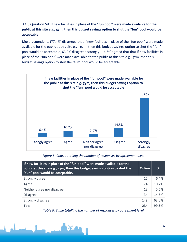# **3.1.8 Question 5d: If new facilities in place of the "fun pool" were made available for the public at this site e.g., gym, then this budget savings option to shut the "fun" pool would be acceptable.**

Most respondents (77.4%) disagreed that if new facilities in place of the "fun pool" were made available for the public at this site e.g., gym, then this budget savings option to shut the "fun" pool would be acceptable, 63.0% disagreed strongly. 16.6% agreed that that if new facilities in place of the "fun pool" were made available for the public at this site e.g., gym, then this budget savings option to shut the "fun" pool would be acceptable.



*Figure 8: Chart totalling the number of responses by agreement level*

| If new facilities in place of the "fun pool" were made available for the<br>public at this site e.g., gym, then this budget savings option to shut the<br>"fun" pool would be acceptable. | Online | ℅     |
|-------------------------------------------------------------------------------------------------------------------------------------------------------------------------------------------|--------|-------|
| Strongly agree                                                                                                                                                                            | 15     | 6.4%  |
| Agree                                                                                                                                                                                     | 24     | 10.2% |
| Neither agree nor disagree                                                                                                                                                                | 13     | 5.5%  |
| <b>Disagree</b>                                                                                                                                                                           | 34     | 14.5% |
| Strongly disagree                                                                                                                                                                         | 148    | 63.0% |
| <b>Total</b>                                                                                                                                                                              | 234    | 99.6% |

*Table 8: Table totalling the number of responses by agreement level*

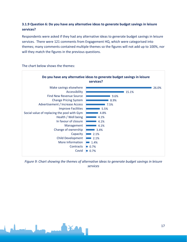# **3.1.9 Question 6: Do you have any alternative ideas to generate budget savings in leisure services?**

Respondents were asked if they had any alternative ideas to generate budget savings in leisure services. There were 121 comments from Engagement HQ, which were categorised into themes; many comments contained multiple themes so the figures will not add up to 100%, nor will they match the figures in the previous questions.



The chart below shows the themes:

*Figure 9: Chart showing the themes of alternative ideas to generate budget savings in leisure services*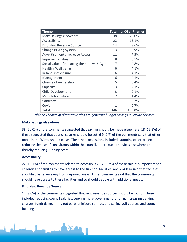| <b>Theme</b>                                | <b>Total</b>  | % Of all themes |
|---------------------------------------------|---------------|-----------------|
| Make savings elsewhere                      | 38            | 26.0%           |
| Accessibility                               | 22            | 15.1%           |
| <b>Find New Revenue Source</b>              | 14            | 9.6%            |
| <b>Change Pricing System</b>                | 13            | 8.9%            |
| Advertisement / Increase Access             | 11            | 7.5%            |
| <b>Improve Facilities</b>                   | 8             | 5.5%            |
| Social value of replacing the pool with Gym | 7             | 4.8%            |
| Health / Well being                         | 6             | 4.1%            |
| In favour of closure                        | 6             | 4.1%            |
| Management                                  | 6             | 4.1%            |
| Change of ownership                         | 5             | 3.4%            |
| Capacity                                    | 3             | 2.1%            |
| <b>Child Development</b>                    | 3             | 2.1%            |
| More Information                            | $\mathcal{P}$ | 1.4%            |
| Contracts                                   | 1             | 0.7%            |
| Covid                                       | 1             | 0.7%            |
| <b>Total</b>                                | 146           | 100.0%          |

*Table 9: Themes of alternative ideas to generate budget savings in leisure services*

#### **Make savings elsewhere**

38 (26.0%) of the comments suggested that savings should be made elsewhere. 18 (12.3%) of these suggested that council salaries should be cut; 6 (4.1%) of the comments said that other pools in the Wirral should close. The other suggestions included: stopping other projects, reducing the use of consultants within the council, and reducing services elsewhere and thereby reducing running costs.

### **Accessibility**

22 (15.1%) of the comments related to accessibility. 12 (8.2%) of these said it is important for children and families to have access to the fun pool facilities, and 7 (4.8%) said that facilities shouldn't be taken away from deprived areas. Other comments said that the community should have access to these facilities and so should people with additional needs.

### **Find New Revenue Source**

14 (9.6%) of the comments suggested that new revenue sources should be found. These included reducing council salaries, seeking more government funding, increasing parking charges, fundraising, hiring out parts of leisure centres, and selling golf courses and council buildings.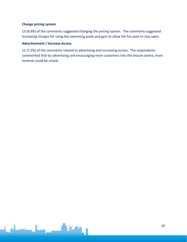### **Change pricing system**

13 (8.9%) of the comments suggested changing the pricing system. The comments suggested increasing charges for using the swimming pools and gym to allow the fun pool to stay open.

### **Advertisement / Increase Access**

11 (7.5%) of the comments related to advertising and increasing access. The respondents commented that by advertising and encouraging more customers into the leisure centre, more revenue could be raised.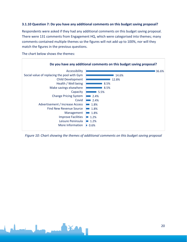#### **3.1.10 Question 7: Do you have any additional comments on this budget saving proposal?**

Respondents were asked if they had any additional comments on this budget saving proposal. There were 131 comments from Engagement HQ, which were categorised into themes; many comments contained multiple themes so the figures will not add up to 100%, nor will they match the figures in the previous questions.

The chart below shows the themes:



*Figure 10: Chart showing the themes of additional comments on this budget saving proposal*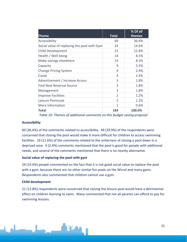| Theme                                       | <b>Total</b>  | % Of all<br>themes |
|---------------------------------------------|---------------|--------------------|
| Accessibility                               | 60            | 36.6%              |
| Social value of replacing the pool with Gym | 24            | 14.6%              |
| Child Development                           | 21            | 12.8%              |
| Health / Well being                         | 14            | 8.5%               |
| Make savings elsewhere                      | 14            | 8.5%               |
| Capacity                                    | 9             | 5.5%               |
| <b>Change Pricing System</b>                | 4             | 2.4%               |
| Covid                                       | 4             | 2.4%               |
| Advertisement / Increase Access             | 3             | 1.8%               |
| <b>Find New Revenue Source</b>              | 3             | 1.8%               |
| Management                                  | 3             | 1.8%               |
| <b>Improve Facilities</b>                   | $\mathcal{P}$ | 1.2%               |
| Leisure Peninsula                           | $\mathcal{P}$ | 1.2%               |
| More Information                            | 1             | 0.6%               |
| Total                                       | 164           | 100.0%             |

*Table 10: Themes of additional comments on this budget saving proposal*

#### **Accessibility**

60 (36.6%) of the comments related to accessibility. 49 (29.9%) of the respondents were concerned that closing the pool would make it more difficult for children to access swimming facilities. 19 (11.6%) of the comments related to the unfairness of closing a pool down in a deprived area. 4 (2.4%) comments mentioned that the pool is good for people with additional needs, and several of the comments mentioned that there is no nearby alternative.

#### **Social value of replacing the pool with gym**

24 (14.6%) people commented on the fact that it is not good social value to replace the pool with a gym, because there are no other similar fun pools on the Wirral and many gyms. Respondents also commented that children cannot use a gym.

#### **Child development**

21 (12.8%) respondents were concerned that closing the leisure pool would have a detrimental effect on children learning to swim. Many commented that not all parents can afford to pay for swimming lessons.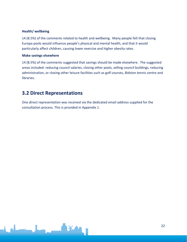### **Health/ wellbeing**

14 (8.5%) of the comments related to health and wellbeing. Many people felt that closing Europa pools would influence people's physical and mental health, and that it would particularly affect children, causing lower exercise and higher obesity rates.

#### **Make savings elsewhere**

14 (8.5%) of the comments suggested that savings should be made elsewhere. The suggested areas included: reducing council salaries, closing other pools, selling council buildings, reducing administration, or closing other leisure facilities such as golf courses, Bidston tennis centre and libraries.

# <span id="page-21-0"></span>**3.2 Direct Representations**

One direct representation was received via the dedicated email address supplied for the consultation process. This is provided in Appendix 1.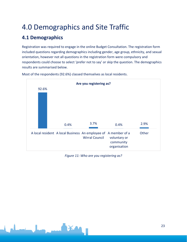# <span id="page-22-0"></span>4.0 Demographics and Site Traffic

# <span id="page-22-1"></span>**4.1 Demographics**

Registration was required to engage in the online Budget Consultation. The registration form included questions regarding demographics including gender, age group, ethnicity, and sexual orientation, however not all questions in the registration form were compulsory and respondents could choose to select 'prefer not to say' or skip the question. The demographics results are summarised below.



Most of the respondents (92.6%) classed themselves as local residents.

*Figure 11: Who are you registering as?*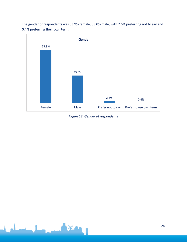The gender of respondents was 63.9% female, 33.0% male, with 2.6% preferring not to say and 0.4% preferring their own term.



*Figure 12: Gender of respondents*

**XA**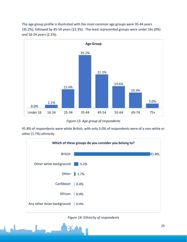The age group profile is illustrated with the most common age groups were 35-44 years (35.2%), followed by 45-54 years (22.3%). The least represented groups were under 16s (0%) and 16-24 years (2.1%).



*Figure 13: Age group of respondents*

91.8% of respondents were white British, with only 3.0% of respondents were of a non-white or other (1.7%) ethnicity.



*Figure 14: Ethnicity of respondents*



25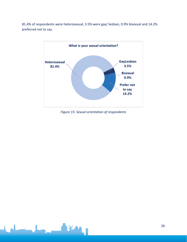81.4% of respondents were heterosexual, 3.5% were gay/ lesbian, 0.9% bisexual and 14.2% preferred not to say.



*Figure 15: Sexual orientation of respondents*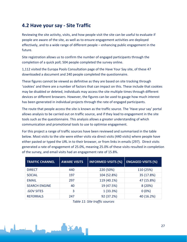# <span id="page-26-0"></span>**4.2 Have your say - Site Traffic**

Reviewing the site activity, visits, and how people visit the site can be useful to evaluate if people are aware of the site, as well as to ensure engagement activities are deployed effectively, and to a wide range of different people – enhancing public engagement in the future.

Site registration allows us to confirm the number of engaged participants through the completion of a quick poll; 504 people completed the survey online.

1,112 visited the Europa Pools Consultation page of the Have Your Say site, of these 47 downloaded a document and 240 people completed the questionnaire.

These figures cannot be viewed as definitive as they are based on site tracking through 'cookies' and there are a number of factors that can impact on this. These include that cookies may be disabled or deleted, individuals may access the site multiple times through different devices or different browsers. However, the figures can be used to gauge how much interest has been generated in individual projects through the rate of engaged participants.

The route that people access the site is known as the traffic source. The 'Have your say' portal allows analysis to be carried out on traffic source, and if they lead to engagement in the site tools such as the questionnaire. This analysis allows a greater understanding of which communication and promotional tools to use to optimise engagement.

For this project a range of traffic sources have been reviewed and summarised in the table below. Most visits to the site were either visits via direct visits (440 visits) where people have either pasted or typed the URL in to their browser, or from links in emails (297). Direct visits generated a rate of engagement of 25.0%, meaning 25.0% of these visits resulted in completion of the survey, and email visits had an engagement rate of 15.8%.

| <b>TRAFFIC CHANNEL</b> | <b>AWARE VISITS</b> | <b>INFORMED VISITS (%)</b> | <b>ENGAGED VISITS (%)</b> |
|------------------------|---------------------|----------------------------|---------------------------|
| <b>DIRECT</b>          | 440                 | 220 (50%)                  | 110 (25%)                 |
| <b>SOCIAL</b>          | 197                 | 104 (52.8%)                | 35 (17.8%)                |
| <b>EMAIL</b>           | 297                 | 119 (40.1%)                | 47 (15.8%)                |
| <b>SEARCH ENGINE</b>   | 40                  | 19 (47.5%)                 | 8(20%)                    |
| .GOV SITES             | 3                   | 1(33.3%)                   | $0(0\%)$                  |
| <b>REFERRALS</b>       | 247                 | 92 (37.2%)                 | 40 (16.2%)                |

*Table 11: Site traffic sources*